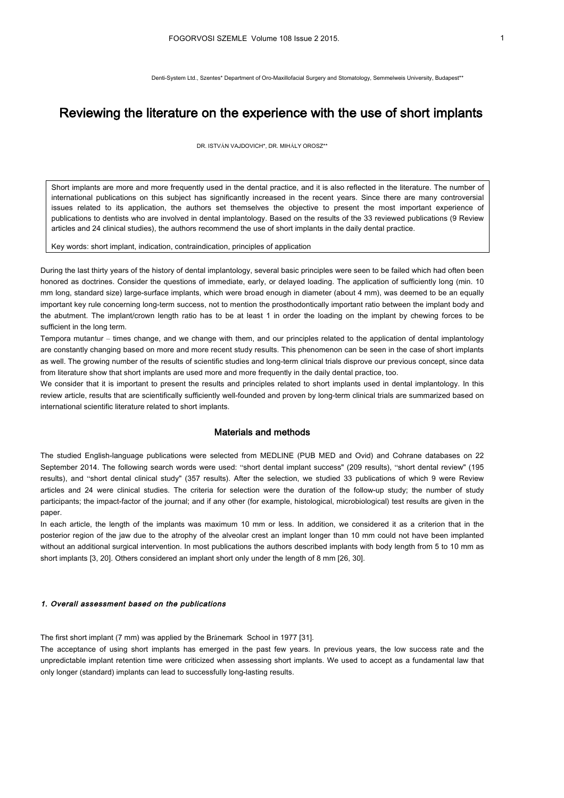Denti-System Ltd., Szentes\* Department of Oro-Maxillofacial Surgery and Stomatology, Semmelweis University, Budapest\*\*

# Reviewing the literature on the experience with the use of short implants

DR. ISTVÁN VAJDOVICH\*, DR. MIHÁLY OROSZ\*\*

Short implants are more and more frequently used in the dental practice, and it is also reflected in the literature. The number of international publications on this subject has significantly increased in the recent years. Since there are many controversial issues related to its application, the authors set themselves the objective to present the most important experience of publications to dentists who are involved in dental implantology. Based on the results of the 33 reviewed publications (9 Review articles and 24 clinical studies), the authors recommend the use of short implants in the daily dental practice.

Key words: short implant, indication, contraindication, principles of application

During the last thirty years of the history of dental implantology, several basic principles were seen to be failed which had often been honored as doctrines. Consider the questions of immediate, early, or delayed loading. The application of sufficiently long (min. 10 mm long, standard size) large-surface implants, which were broad enough in diameter (about 4 mm), was deemed to be an equally important key rule concerning long-term success, not to mention the prosthodontically important ratio between the implant body and the abutment. The implant/crown length ratio has to be at least 1 in order the loading on the implant by chewing forces to be sufficient in the long term.

Tempora mutantur – times change, and we change with them, and our principles related to the application of dental implantology are constantly changing based on more and more recent study results. This phenomenon can be seen in the case of short implants as well. The growing number of the results of scientific studies and long-term clinical trials disprove our previous concept, since data from literature show that short implants are used more and more frequently in the daily dental practice, too.

We consider that it is important to present the results and principles related to short implants used in dental implantology. In this review article, results that are scientifically sufficiently well-founded and proven by long-term clinical trials are summarized based on international scientific literature related to short implants.

## Materials and methods

The studied English-language publications were selected from MEDLINE (PUB MED and Ovid) and Cohrane databases on 22 September 2014. The following search words were used: "short dental implant success" (209 results), "short dental review" (195 results), and "short dental clinical study" (357 results). After the selection, we studied 33 publications of which 9 were Review articles and 24 were clinical studies. The criteria for selection were the duration of the follow-up study; the number of study participants; the impact-factor of the journal; and if any other (for example, histological, microbiological) test results are given in the paper.

In each article, the length of the implants was maximum 10 mm or less. In addition, we considered it as a criterion that in the posterior region of the jaw due to the atrophy of the alveolar crest an implant longer than 10 mm could not have been implanted without an additional surgical intervention. In most publications the authors described implants with body length from 5 to 10 mm as short implants [3, 20]. Others considered an implant short only under the length of 8 mm [26, 30].

#### 1. Overall assessment based on the publications

The first short implant (7 mm) was applied by the Brånemark School in 1977 [31].

The acceptance of using short implants has emerged in the past few years. In previous years, the low success rate and the unpredictable implant retention time were criticized when assessing short implants. We used to accept as a fundamental law that only longer (standard) implants can lead to successfully long-lasting results.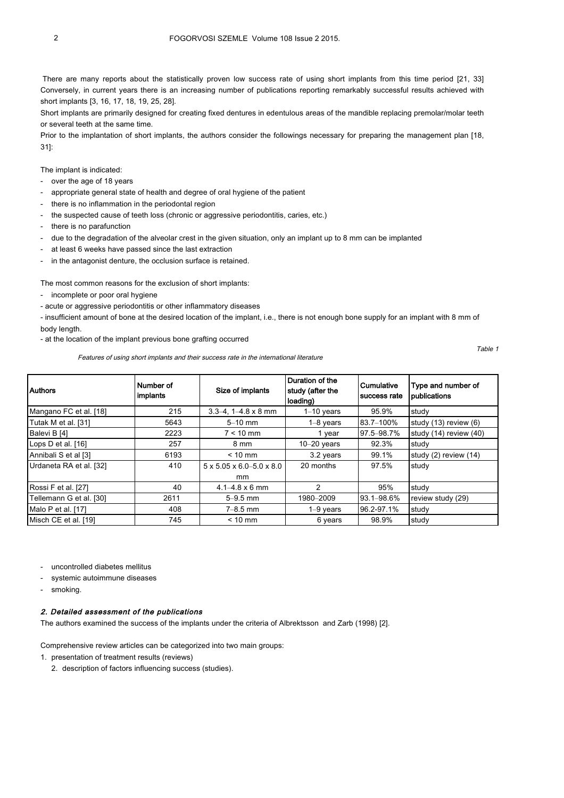There are many reports about the statistically proven low success rate of using short implants from this time period [21, 33] Conversely, in current years there is an increasing number of publications reporting remarkably successful results achieved with short implants [3, 16, 17, 18, 19, 25, 28].

Short implants are primarily designed for creating fixed dentures in edentulous areas of the mandible replacing premolar/molar teeth or several teeth at the same time.

Prior to the implantation of short implants, the authors consider the followings necessary for preparing the management plan [18, 31]:

The implant is indicated:

- over the age of 18 years
- appropriate general state of health and degree of oral hygiene of the patient
- there is no inflammation in the periodontal region
- the suspected cause of teeth loss (chronic or aggressive periodontitis, caries, etc.)
- there is no parafunction
- due to the degradation of the alveolar crest in the given situation, only an implant up to 8 mm can be implanted
- at least 6 weeks have passed since the last extraction
- in the antagonist denture, the occlusion surface is retained.

The most common reasons for the exclusion of short implants:

- incomplete or poor oral hygiene
- acute or aggressive periodontitis or other inflammatory diseases

- insufficient amount of bone at the desired location of the implant, i.e., there is not enough bone supply for an implant with 8 mm of body length.

- at the location of the implant previous bone grafting occurred

Features of using short implants and their success rate in the international literature

Table 1

| <b>Authors</b>          | Number of<br>implants | Size of implants                                  | Duration of the<br>study (after the<br>loading) | l Cumulative<br>Isuccess rate | Type and number of<br>publications |
|-------------------------|-----------------------|---------------------------------------------------|-------------------------------------------------|-------------------------------|------------------------------------|
| Mangano FC et al. [18]  | 215                   | $3.3 - 4$ , $1 - 4.8 \times 8$ mm                 | $1-10$ years                                    | 95.9%                         | study                              |
| Tutak M et al. [31]     | 5643                  | $5-10$ mm                                         | $1-8$ years                                     | 83.7-100%                     | study $(13)$ review $(6)$          |
| Balevi B [4]            | 2223                  | $7 < 10$ mm                                       | 1 year                                          | 97.5-98.7%                    | study $(14)$ review $(40)$         |
| Lops D et al. [16]      | 257                   | 8 mm                                              | $10-20$ years                                   | 92.3%                         | study                              |
| Annibali S et al [3]    | 6193                  | $< 10$ mm                                         | 3.2 years                                       | 99.1%                         | study $(2)$ review $(14)$          |
| Urdaneta RA et al. [32] | 410                   | $5 \times 5.05 \times 6.0 - 5.0 \times 8.0$<br>mm | 20 months                                       | 97.5%                         | study                              |
| Rossi F et al. [27]     | 40                    | $4.1 - 4.8 \times 6$ mm                           | $\mathcal{P}$                                   | 95%                           | study                              |
| Tellemann G et al. [30] | 2611                  | $5 - 9.5$ mm                                      | 1980-2009                                       | 93.1-98.6%                    | review study (29)                  |
| Malo P et al. [17]      | 408                   | $7 - 8.5$ mm                                      | $1-9$ years                                     | 96.2-97.1%                    | study                              |
| Misch CE et al. [19]    | 745                   | $< 10$ mm                                         | 6 years                                         | 98.9%                         | study                              |

uncontrolled diabetes mellitus

- systemic autoimmune diseases
- smoking.

### 2. Detailed assessment of the publications

The authors examined the success of the implants under the criteria of Albrektsson and Zarb (1998) [2].

Comprehensive review articles can be categorized into two main groups:

- 1. presentation of treatment results (reviews)
	- 2. description of factors influencing success (studies).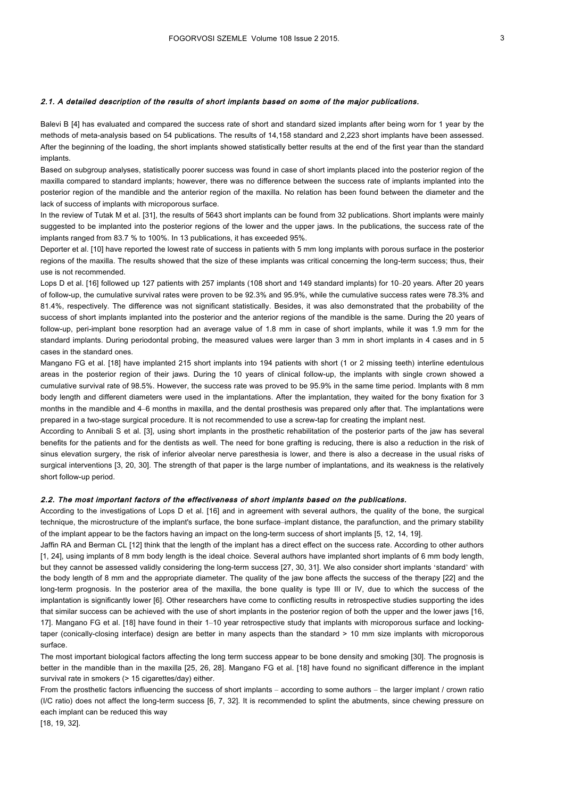#### 2.1. A detailed description of the results of short implants based on some of the major publications.

Balevi B [4] has evaluated and compared the success rate of short and standard sized implants after being worn for 1 year by the methods of meta-analysis based on 54 publications. The results of 14,158 standard and 2,223 short implants have been assessed. After the beginning of the loading, the short implants showed statistically better results at the end of the first year than the standard implants.

Based on subgroup analyses, statistically poorer success was found in case of short implants placed into the posterior region of the maxilla compared to standard implants; however, there was no difference between the success rate of implants implanted into the posterior region of the mandible and the anterior region of the maxilla. No relation has been found between the diameter and the lack of success of implants with microporous surface.

In the review of Tutak M et al. [31], the results of 5643 short implants can be found from 32 publications. Short implants were mainly suggested to be implanted into the posterior regions of the lower and the upper jaws. In the publications, the success rate of the implants ranged from 83.7 % to 100%. In 13 publications, it has exceeded 95%.

Deporter et al. [10] have reported the lowest rate of success in patients with 5 mm long implants with porous surface in the posterior regions of the maxilla. The results showed that the size of these implants was critical concerning the long-term success; thus, their use is not recommended.

Lops D et al. [16] followed up 127 patients with 257 implants (108 short and 149 standard implants) for 10–20 years. After 20 years of follow-up, the cumulative survival rates were proven to be 92.3% and 95.9%, while the cumulative success rates were 78.3% and 81.4%, respectively. The difference was not significant statistically. Besides, it was also demonstrated that the probability of the success of short implants implanted into the posterior and the anterior regions of the mandible is the same. During the 20 years of follow-up, peri-implant bone resorption had an average value of 1.8 mm in case of short implants, while it was 1.9 mm for the standard implants. During periodontal probing, the measured values were larger than 3 mm in short implants in 4 cases and in 5 cases in the standard ones.

Mangano FG et al. [18] have implanted 215 short implants into 194 patients with short (1 or 2 missing teeth) interline edentulous areas in the posterior region of their jaws. During the 10 years of clinical follow-up, the implants with single crown showed a cumulative survival rate of 98.5%. However, the success rate was proved to be 95.9% in the same time period. Implants with 8 mm body length and different diameters were used in the implantations. After the implantation, they waited for the bony fixation for 3 months in the mandible and 4–6 months in maxilla, and the dental prosthesis was prepared only after that. The implantations were prepared in a two-stage surgical procedure. It is not recommended to use a screw-tap for creating the implant nest.

According to Annibali S et al. [3], using short implants in the prosthetic rehabilitation of the posterior parts of the jaw has several benefits for the patients and for the dentists as well. The need for bone grafting is reducing, there is also a reduction in the risk of sinus elevation surgery, the risk of inferior alveolar nerve paresthesia is lower, and there is also a decrease in the usual risks of surgical interventions [3, 20, 30]. The strength of that paper is the large number of implantations, and its weakness is the relatively short follow-up period.

#### 2.2. The most important factors of the effectiveness of short implants based on the publications.

According to the investigations of Lops D et al. [16] and in agreement with several authors, the quality of the bone, the surgical technique, the microstructure of the implant's surface, the bone surface–implant distance, the parafunction, and the primary stability of the implant appear to be the factors having an impact on the long-term success of short implants [5, 12, 14, 19].

Jaffin RA and Berman CL [12] think that the length of the implant has a direct effect on the success rate. According to other authors [1, 24], using implants of 8 mm body length is the ideal choice. Several authors have implanted short implants of 6 mm body length, but they cannot be assessed validly considering the long-term success [27, 30, 31]. We also consider short implants 'standard' with the body length of 8 mm and the appropriate diameter. The quality of the jaw bone affects the success of the therapy [22] and the long-term prognosis. In the posterior area of the maxilla, the bone quality is type III or IV, due to which the success of the implantation is significantly lower [6]. Other researchers have come to conflicting results in retrospective studies supporting the ides that similar success can be achieved with the use of short implants in the posterior region of both the upper and the lower jaws [16, 17]. Mangano FG et al. [18] have found in their 1–10 year retrospective study that implants with microporous surface and lockingtaper (conically-closing interface) design are better in many aspects than the standard > 10 mm size implants with microporous surface.

The most important biological factors affecting the long term success appear to be bone density and smoking [30]. The prognosis is better in the mandible than in the maxilla [25, 26, 28]. Mangano FG et al. [18] have found no significant difference in the implant survival rate in smokers (> 15 cigarettes/day) either.

From the prosthetic factors influencing the success of short implants – according to some authors – the larger implant / crown ratio (I/C ratio) does not affect the long-term success [6, 7, 32]. It is recommended to splint the abutments, since chewing pressure on each implant can be reduced this way

[18, 19, 32].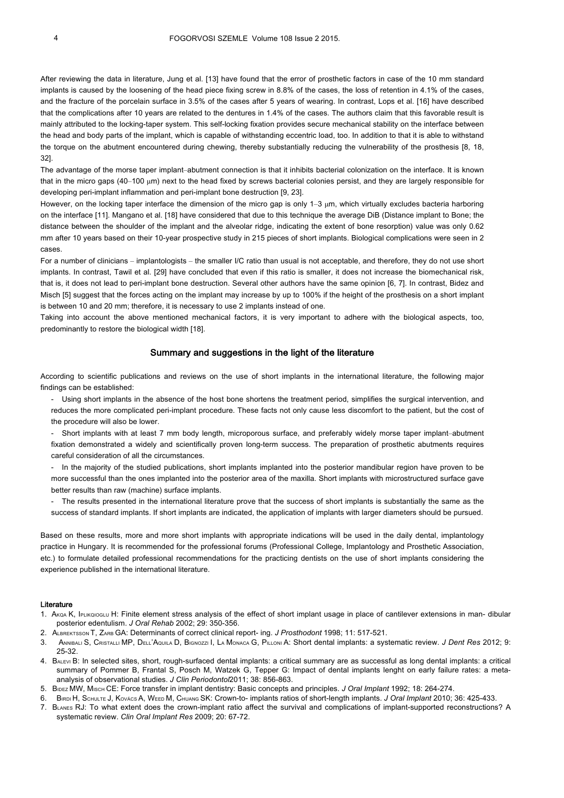After reviewing the data in literature, Jung et al. [13] have found that the error of prosthetic factors in case of the 10 mm standard implants is caused by the loosening of the head piece fixing screw in 8.8% of the cases, the loss of retention in 4.1% of the cases, and the fracture of the porcelain surface in 3.5% of the cases after 5 years of wearing. In contrast, Lops et al. [16] have described that the complications after 10 years are related to the dentures in 1.4% of the cases. The authors claim that this favorable result is mainly attributed to the locking-taper system. This self-locking fixation provides secure mechanical stability on the interface between the head and body parts of the implant, which is capable of withstanding eccentric load, too. In addition to that it is able to withstand the torque on the abutment encountered during chewing, thereby substantially reducing the vulnerability of the prosthesis [8, 18, 32].

The advantage of the morse taper implant–abutment connection is that it inhibits bacterial colonization on the interface. It is known that in the micro gaps (40–100 µm) next to the head fixed by screws bacterial colonies persist, and they are largely responsible for developing peri-implant inflammation and peri-implant bone destruction [9, 23].

However, on the locking taper interface the dimension of the micro gap is only  $1-3 \mu m$ , which virtually excludes bacteria harboring on the interface [11]. Mangano et al. [18] have considered that due to this technique the average DiB (Distance implant to Bone; the distance between the shoulder of the implant and the alveolar ridge, indicating the extent of bone resorption) value was only 0.62 mm after 10 years based on their 10-year prospective study in 215 pieces of short implants. Biological complications were seen in 2 cases.

For a number of clinicians – implantologists – the smaller I/C ratio than usual is not acceptable, and therefore, they do not use short implants. In contrast, Tawil et al. [29] have concluded that even if this ratio is smaller, it does not increase the biomechanical risk, that is, it does not lead to peri-implant bone destruction. Several other authors have the same opinion [6, 7]. In contrast, Bidez and Misch [5] suggest that the forces acting on the implant may increase by up to 100% if the height of the prosthesis on a short implant is between 10 and 20 mm; therefore, it is necessary to use 2 implants instead of one.

Taking into account the above mentioned mechanical factors, it is very important to adhere with the biological aspects, too, predominantly to restore the biological width [18].

### Summary and suggestions in the light of the literature

According to scientific publications and reviews on the use of short implants in the international literature, the following major findings can be established:

- Using short implants in the absence of the host bone shortens the treatment period, simplifies the surgical intervention, and reduces the more complicated peri-implant procedure. These facts not only cause less discomfort to the patient, but the cost of the procedure will also be lower.

- Short implants with at least 7 mm body length, microporous surface, and preferably widely morse taper implant–abutment fixation demonstrated a widely and scientifically proven long-term success. The preparation of prosthetic abutments requires careful consideration of all the circumstances.

In the majority of the studied publications, short implants implanted into the posterior mandibular region have proven to be more successful than the ones implanted into the posterior area of the maxilla. Short implants with microstructured surface gave better results than raw (machine) surface implants.

- The results presented in the international literature prove that the success of short implants is substantially the same as the success of standard implants. If short implants are indicated, the application of implants with larger diameters should be pursued.

Based on these results, more and more short implants with appropriate indications will be used in the daily dental, implantology practice in Hungary. It is recommended for the professional forums (Professional College, Implantology and Prosthetic Association, etc.) to formulate detailed professional recommendations for the practicing dentists on the use of short implants considering the experience published in the international literature.

#### Literature

- 1. AKQA K, IPLIKQIOGLU H: Finite element stress analysis of the effect of short implant usage in place of cantilever extensions in man- dibular posterior edentulism. *J Oral Rehab* 2002; 29: 350-356.
- 2. ALBREKTSSON T, ZARB GA: Determinants of correct clinical report- ing. *J Prosthodont* 1998; 11: 517-521.
- 3. ANNIBALI S, CRISTALLI MP, DELL'AQUILA D, BIGNOZZI I, LA MONACA G, PILLONI A: Short dental implants: a systematic review. *J Dent Res* 2012; 9: 25-32.
- 4. BALEVI B: In selected sites, short, rough-surfaced dental implants: a critical summary are as successful as long dental implants: a critical summary of Pommer B, Frantal S, Posch M, Watzek G, Tepper G: Impact of dental implants lenght on early failure rates: a metaanalysis of observational studies. *J Clin Periodontol*2011; 38: 856-863.
- 5. BIDEZ MW, MISCH CE: Force transfer in implant dentistry: Basic concepts and principles. *J Oral Implant* 1992; 18: 264-274.
- 6. BIRDI H, SCHULTE J, KOVÁCS A, WEED M, CHUANG SK: Crown-to- implants ratios of short-length implants. *J Oral Implant* 2010; 36: 425-433.
- 7. BLANES RJ: To what extent does the crown-implant ratio affect the survival and complications of implant-supported reconstructions? A systematic review. *Clin Oral Implant Res* 2009; 20: 67-72.